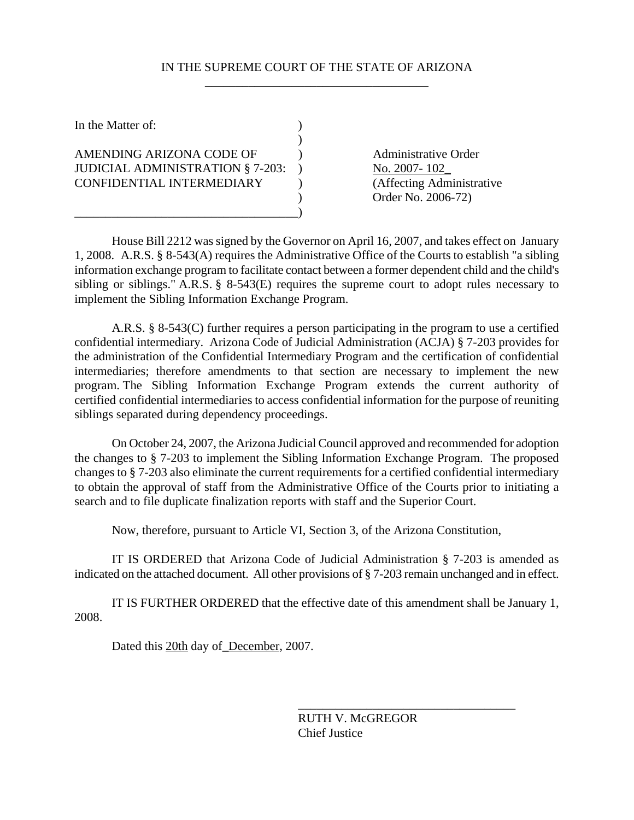## IN THE SUPREME COURT OF THE STATE OF ARIZONA \_\_\_\_\_\_\_\_\_\_\_\_\_\_\_\_\_\_\_\_\_\_\_\_\_\_\_\_\_\_\_\_\_\_\_\_

| In the Matter of:                       |  |
|-----------------------------------------|--|
|                                         |  |
| AMENDING ARIZONA CODE OF                |  |
| <b>JUDICIAL ADMINISTRATION § 7-203:</b> |  |
| CONFIDENTIAL INTERMEDIARY               |  |
|                                         |  |
|                                         |  |

Administrative Order No. 2007- 102 (Affecting Administrative ) Order No. 2006-72)

House Bill 2212 was signed by the Governor on April 16, 2007, and takes effect on January 1, 2008. A.R.S. § 8-543(A) requires the Administrative Office of the Courts to establish "a sibling information exchange program to facilitate contact between a former dependent child and the child's sibling or siblings." A.R.S. § 8-543(E) requires the supreme court to adopt rules necessary to implement the Sibling Information Exchange Program.

A.R.S. § 8-543(C) further requires a person participating in the program to use a certified confidential intermediary. Arizona Code of Judicial Administration (ACJA) § 7-203 provides for the administration of the Confidential Intermediary Program and the certification of confidential intermediaries; therefore amendments to that section are necessary to implement the new program. The Sibling Information Exchange Program extends the current authority of certified confidential intermediaries to access confidential information for the purpose of reuniting siblings separated during dependency proceedings.

On October 24, 2007, the Arizona Judicial Council approved and recommended for adoption the changes to § 7-203 to implement the Sibling Information Exchange Program. The proposed changes to § 7-203 also eliminate the current requirements for a certified confidential intermediary to obtain the approval of staff from the Administrative Office of the Courts prior to initiating a search and to file duplicate finalization reports with staff and the Superior Court.

Now, therefore, pursuant to Article VI, Section 3, of the Arizona Constitution,

IT IS ORDERED that Arizona Code of Judicial Administration § 7-203 is amended as indicated on the attached document. All other provisions of § 7-203 remain unchanged and in effect.

IT IS FURTHER ORDERED that the effective date of this amendment shall be January 1, 2008.

Dated this 20th day of\_December, 2007.

RUTH V. McGREGOR Chief Justice

\_\_\_\_\_\_\_\_\_\_\_\_\_\_\_\_\_\_\_\_\_\_\_\_\_\_\_\_\_\_\_\_\_\_\_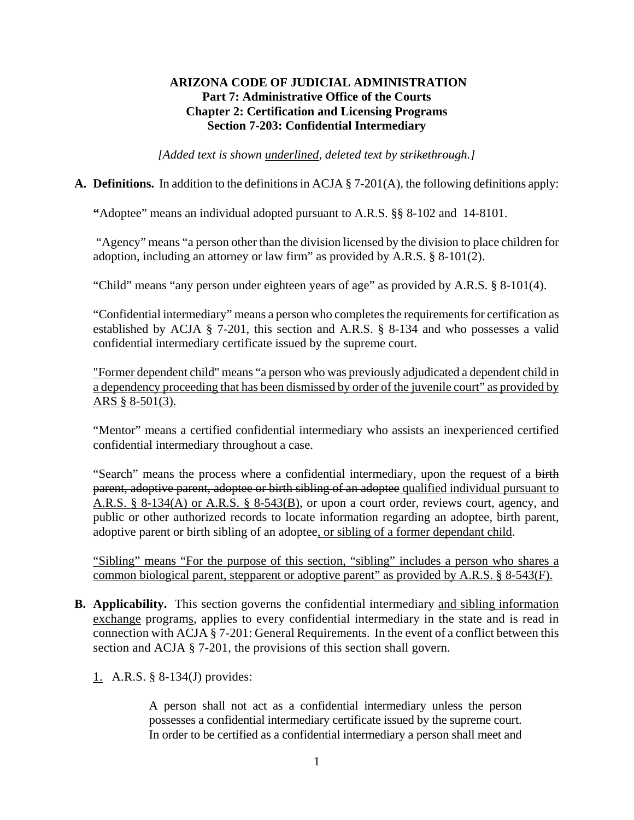# **ARIZONA CODE OF JUDICIAL ADMINISTRATION Part 7: Administrative Office of the Courts Chapter 2: Certification and Licensing Programs Section 7-203: Confidential Intermediary**

*[Added text is shown underlined, deleted text by strikethrough.]* 

## **A. Definitions.** In addition to the definitions in ACJA § 7-201(A), the following definitions apply:

**"**Adoptee" means an individual adopted pursuant to A.R.S. §§ 8-102 and 14-8101.

"Agency" means "a person other than the division licensed by the division to place children for adoption, including an attorney or law firm" as provided by A.R.S. § 8-101(2).

"Child" means "any person under eighteen years of age" as provided by A.R.S. § 8-101(4).

"Confidential intermediary" means a person who completes the requirements for certification as established by ACJA § 7-201, this section and A.R.S. § 8-134 and who possesses a valid confidential intermediary certificate issued by the supreme court.

"Former dependent child" means "a person who was previously adjudicated a dependent child in a dependency proceeding that has been dismissed by order of the juvenile court" as provided by ARS § 8-501(3).

"Mentor" means a certified confidential intermediary who assists an inexperienced certified confidential intermediary throughout a case.

"Search" means the process where a confidential intermediary, upon the request of a birth parent, adoptive parent, adoptee or birth sibling of an adoptee qualified individual pursuant to A.R.S. § 8-134(A) or A.R.S. § 8-543(B), or upon a court order, reviews court, agency, and public or other authorized records to locate information regarding an adoptee, birth parent, adoptive parent or birth sibling of an adoptee, or sibling of a former dependant child.

"Sibling" means "For the purpose of this section, "sibling" includes a person who shares a common biological parent, stepparent or adoptive parent" as provided by A.R.S. § 8-543(F).

**B. Applicability.** This section governs the confidential intermediary and sibling information exchange programs, applies to every confidential intermediary in the state and is read in connection with ACJA § 7-201: General Requirements. In the event of a conflict between this section and ACJA § 7-201, the provisions of this section shall govern.

1. A.R.S. § 8-134(J) provides:

A person shall not act as a confidential intermediary unless the person possesses a confidential intermediary certificate issued by the supreme court. In order to be certified as a confidential intermediary a person shall meet and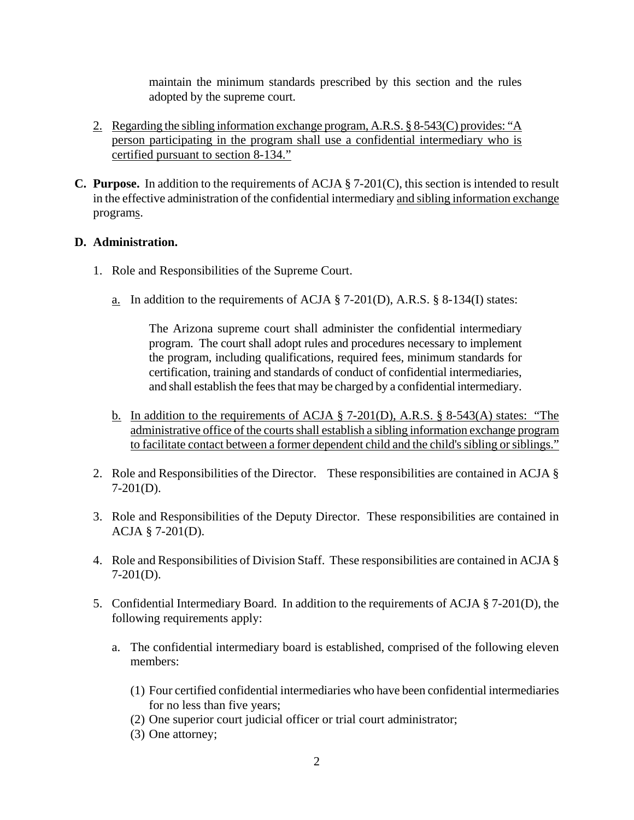maintain the minimum standards prescribed by this section and the rules adopted by the supreme court.

- 2. Regarding the sibling information exchange program, A.R.S. § 8-543(C) provides: "A person participating in the program shall use a confidential intermediary who is certified pursuant to section 8-134."
- **C. Purpose.** In addition to the requirements of ACJA § 7-201(C), this section is intended to result in the effective administration of the confidential intermediary and sibling information exchange programs.

## **D. Administration.**

- 1. Role and Responsibilities of the Supreme Court.
	- a. In addition to the requirements of ACJA  $\S$  7-201(D), A.R.S.  $\S$  8-134(I) states:

The Arizona supreme court shall administer the confidential intermediary program. The court shall adopt rules and procedures necessary to implement the program, including qualifications, required fees, minimum standards for certification, training and standards of conduct of confidential intermediaries, and shall establish the fees that may be charged by a confidential intermediary.

- b. In addition to the requirements of ACJA § 7-201(D), A.R.S. § 8-543(A) states: "The administrative office of the courts shall establish a sibling information exchange program to facilitate contact between a former dependent child and the child's sibling or siblings."
- 2. Role and Responsibilities of the Director. These responsibilities are contained in ACJA § 7-201(D).
- 3. Role and Responsibilities of the Deputy Director. These responsibilities are contained in ACJA § 7-201(D).
- 4. Role and Responsibilities of Division Staff. These responsibilities are contained in ACJA § 7-201(D).
- 5. Confidential Intermediary Board. In addition to the requirements of ACJA § 7-201(D), the following requirements apply:
	- a. The confidential intermediary board is established, comprised of the following eleven members:
		- (1) Four certified confidential intermediaries who have been confidential intermediaries for no less than five years;
		- (2) One superior court judicial officer or trial court administrator;
		- (3) One attorney;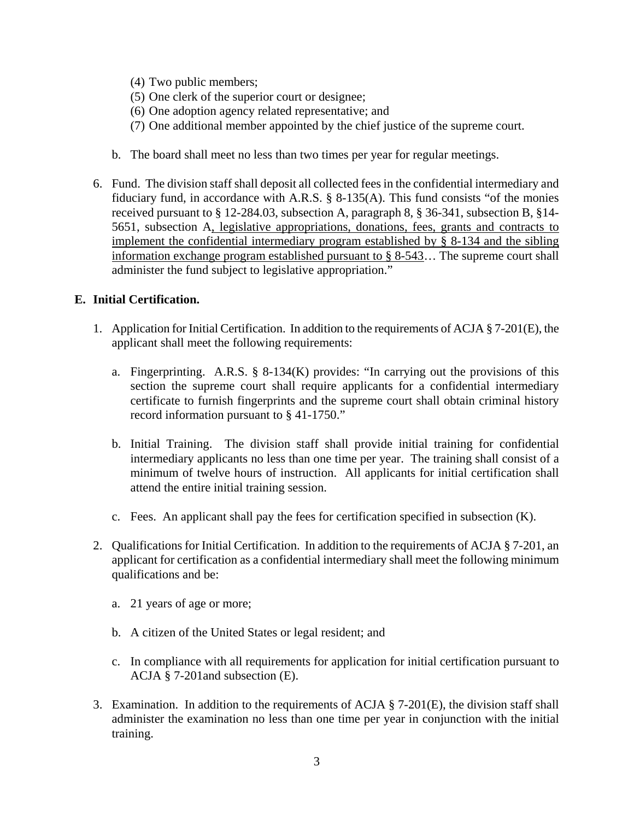- (4) Two public members;
- (5) One clerk of the superior court or designee;
- (6) One adoption agency related representative; and
- (7) One additional member appointed by the chief justice of the supreme court.
- b. The board shall meet no less than two times per year for regular meetings.
- 6. Fund. The division staff shall deposit all collected fees in the confidential intermediary and fiduciary fund, in accordance with A.R.S.  $\S$  8-135(A). This fund consists "of the monies received pursuant to § 12-284.03, subsection A, paragraph 8, § 36-341, subsection B, §14- 5651, subsection A, legislative appropriations, donations, fees, grants and contracts to implement the confidential intermediary program established by § 8-134 and the sibling information exchange program established pursuant to § 8-543… The supreme court shall administer the fund subject to legislative appropriation."

## **E. Initial Certification.**

- 1. Application for Initial Certification. In addition to the requirements of ACJA § 7-201(E), the applicant shall meet the following requirements:
	- a. Fingerprinting. A.R.S. § 8-134(K) provides: "In carrying out the provisions of this section the supreme court shall require applicants for a confidential intermediary certificate to furnish fingerprints and the supreme court shall obtain criminal history record information pursuant to § 41-1750."
	- b. Initial Training. The division staff shall provide initial training for confidential intermediary applicants no less than one time per year. The training shall consist of a minimum of twelve hours of instruction. All applicants for initial certification shall attend the entire initial training session.
	- c. Fees. An applicant shall pay the fees for certification specified in subsection (K).
- 2. Qualifications for Initial Certification. In addition to the requirements of ACJA § 7-201, an applicant for certification as a confidential intermediary shall meet the following minimum qualifications and be:
	- a. 21 years of age or more;
	- b. A citizen of the United States or legal resident; and
	- c. In compliance with all requirements for application for initial certification pursuant to ACJA § 7-201and subsection (E).
- 3. Examination. In addition to the requirements of ACJA  $\S$  7-201(E), the division staff shall administer the examination no less than one time per year in conjunction with the initial training.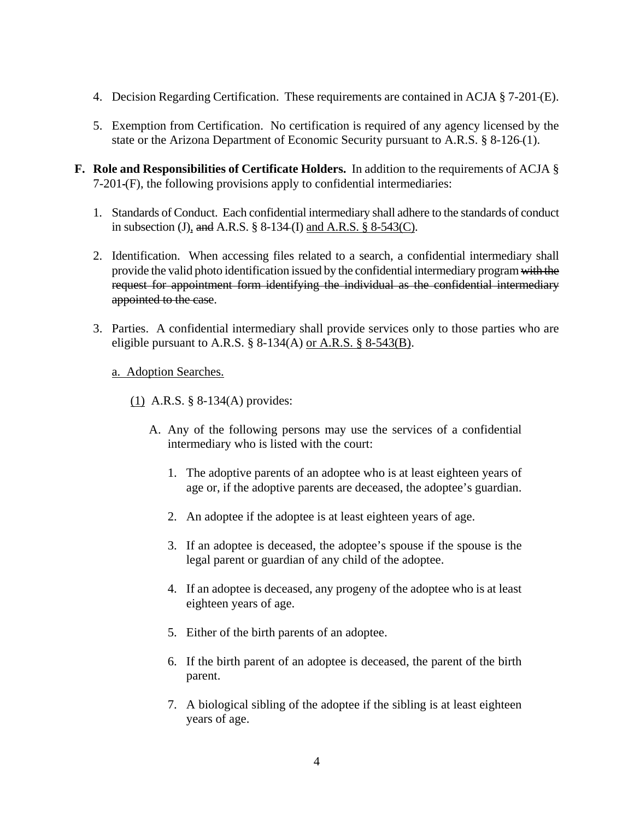- 4. Decision Regarding Certification. These requirements are contained in ACJA § 7-201 (E).
- 5. Exemption from Certification. No certification is required of any agency licensed by the state or the Arizona Department of Economic Security pursuant to A.R.S. § 8-126 (1).
- **F. Role and Responsibilities of Certificate Holders.** In addition to the requirements of ACJA § 7-201 (F), the following provisions apply to confidential intermediaries:
	- 1. Standards of Conduct. Each confidential intermediary shall adhere to the standards of conduct in subsection (J), and A.R.S.  $\S 8-134$  (I) and A.R.S.  $\S 8-543$  (C).
	- 2. Identification. When accessing files related to a search, a confidential intermediary shall provide the valid photo identification issued by the confidential intermediary program with the request for appointment form identifying the individual as the confidential intermediary appointed to the case.
	- 3. Parties. A confidential intermediary shall provide services only to those parties who are eligible pursuant to A.R.S.  $\S$  8-134(A) or A.R.S.  $\S$  8-543(B).
		- a. Adoption Searches.
			- (1) A.R.S. § 8-134(A) provides:
				- A. Any of the following persons may use the services of a confidential intermediary who is listed with the court:
					- 1. The adoptive parents of an adoptee who is at least eighteen years of age or, if the adoptive parents are deceased, the adoptee's guardian.
					- 2. An adoptee if the adoptee is at least eighteen years of age.
					- 3. If an adoptee is deceased, the adoptee's spouse if the spouse is the legal parent or guardian of any child of the adoptee.
					- 4. If an adoptee is deceased, any progeny of the adoptee who is at least eighteen years of age.
					- 5. Either of the birth parents of an adoptee.
					- 6. If the birth parent of an adoptee is deceased, the parent of the birth parent.
					- 7. A biological sibling of the adoptee if the sibling is at least eighteen years of age.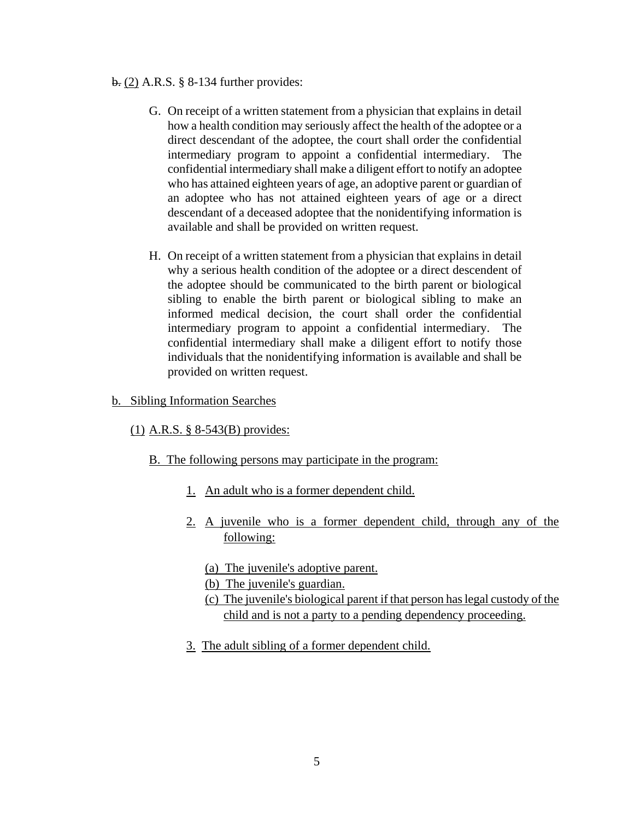#### b. (2) A.R.S. § 8-134 further provides:

- G. On receipt of a written statement from a physician that explains in detail how a health condition may seriously affect the health of the adoptee or a direct descendant of the adoptee, the court shall order the confidential intermediary program to appoint a confidential intermediary. The confidential intermediary shall make a diligent effort to notify an adoptee who has attained eighteen years of age, an adoptive parent or guardian of an adoptee who has not attained eighteen years of age or a direct descendant of a deceased adoptee that the nonidentifying information is available and shall be provided on written request.
- H. On receipt of a written statement from a physician that explains in detail why a serious health condition of the adoptee or a direct descendent of the adoptee should be communicated to the birth parent or biological sibling to enable the birth parent or biological sibling to make an informed medical decision, the court shall order the confidential intermediary program to appoint a confidential intermediary. The confidential intermediary shall make a diligent effort to notify those individuals that the nonidentifying information is available and shall be provided on written request.
- b. Sibling Information Searches
	- (1) A.R.S. § 8-543(B) provides:
		- B. The following persons may participate in the program:
			- 1. An adult who is a former dependent child.
			- 2. A juvenile who is a former dependent child, through any of the following:
				- (a) The juvenile's adoptive parent.
				- (b) The juvenile's guardian.
				- (c) The juvenile's biological parent if that person has legal custody of the child and is not a party to a pending dependency proceeding.
			- 3. The adult sibling of a former dependent child.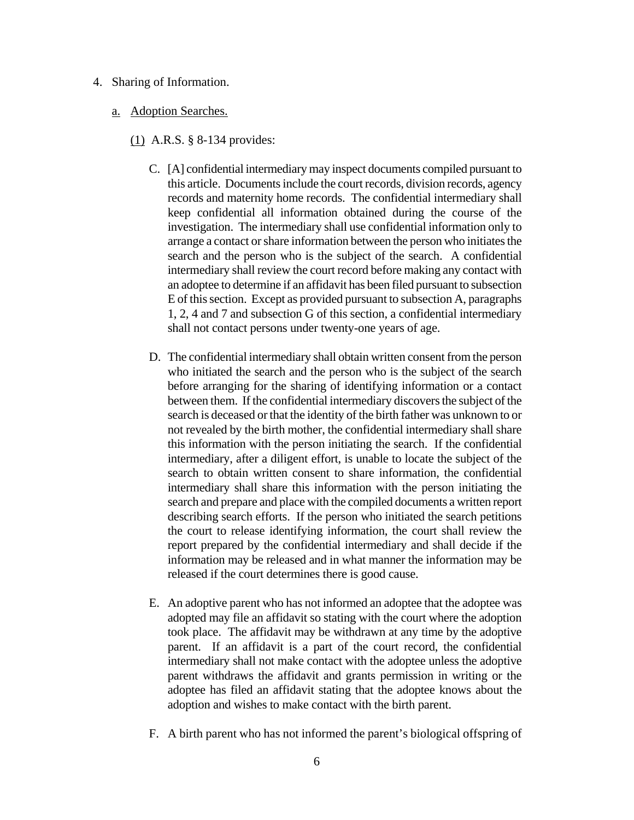- 4. Sharing of Information.
	- a. Adoption Searches.
		- (1) A.R.S. § 8-134 provides:
			- C. [A] confidential intermediary may inspect documents compiled pursuant to this article. Documents include the court records, division records, agency records and maternity home records. The confidential intermediary shall keep confidential all information obtained during the course of the investigation. The intermediary shall use confidential information only to arrange a contact or share information between the person who initiates the search and the person who is the subject of the search. A confidential intermediary shall review the court record before making any contact with an adoptee to determine if an affidavit has been filed pursuant to subsection E of this section. Except as provided pursuant to subsection A, paragraphs 1, 2, 4 and 7 and subsection G of this section, a confidential intermediary shall not contact persons under twenty-one years of age.
			- D. The confidential intermediary shall obtain written consent from the person who initiated the search and the person who is the subject of the search before arranging for the sharing of identifying information or a contact between them. If the confidential intermediary discovers the subject of the search is deceased or that the identity of the birth father was unknown to or not revealed by the birth mother, the confidential intermediary shall share this information with the person initiating the search. If the confidential intermediary, after a diligent effort, is unable to locate the subject of the search to obtain written consent to share information, the confidential intermediary shall share this information with the person initiating the search and prepare and place with the compiled documents a written report describing search efforts. If the person who initiated the search petitions the court to release identifying information, the court shall review the report prepared by the confidential intermediary and shall decide if the information may be released and in what manner the information may be released if the court determines there is good cause.
			- E. An adoptive parent who has not informed an adoptee that the adoptee was adopted may file an affidavit so stating with the court where the adoption took place. The affidavit may be withdrawn at any time by the adoptive parent. If an affidavit is a part of the court record, the confidential intermediary shall not make contact with the adoptee unless the adoptive parent withdraws the affidavit and grants permission in writing or the adoptee has filed an affidavit stating that the adoptee knows about the adoption and wishes to make contact with the birth parent.
			- F. A birth parent who has not informed the parent's biological offspring of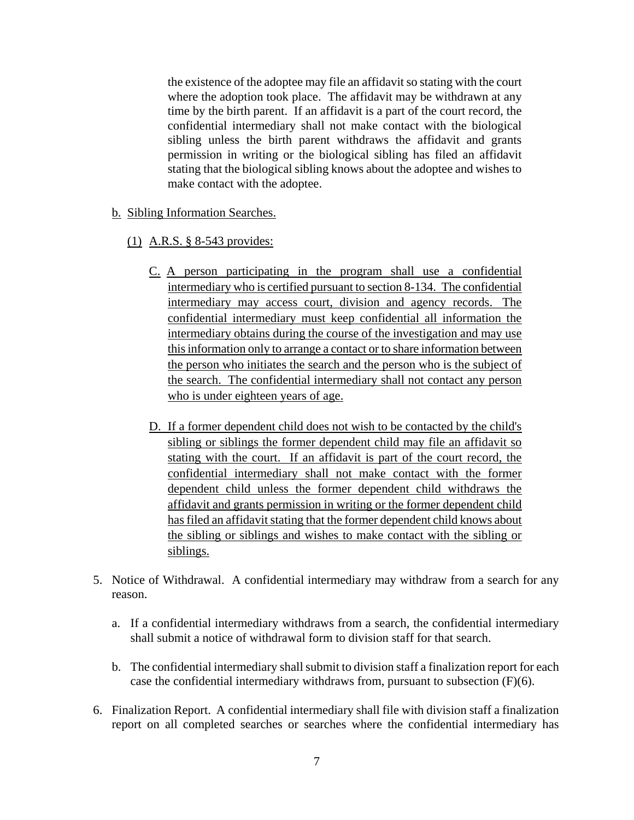the existence of the adoptee may file an affidavit so stating with the court where the adoption took place. The affidavit may be withdrawn at any time by the birth parent. If an affidavit is a part of the court record, the confidential intermediary shall not make contact with the biological sibling unless the birth parent withdraws the affidavit and grants permission in writing or the biological sibling has filed an affidavit stating that the biological sibling knows about the adoptee and wishes to make contact with the adoptee.

- b. Sibling Information Searches.
	- (1) A.R.S. § 8-543 provides:
		- C. A person participating in the program shall use a confidential intermediary who is certified pursuant to section 8-134. The confidential intermediary may access court, division and agency records. The confidential intermediary must keep confidential all information the intermediary obtains during the course of the investigation and may use this information only to arrange a contact or to share information between the person who initiates the search and the person who is the subject of the search. The confidential intermediary shall not contact any person who is under eighteen years of age.
		- D. If a former dependent child does not wish to be contacted by the child's sibling or siblings the former dependent child may file an affidavit so stating with the court. If an affidavit is part of the court record, the confidential intermediary shall not make contact with the former dependent child unless the former dependent child withdraws the affidavit and grants permission in writing or the former dependent child has filed an affidavit stating that the former dependent child knows about the sibling or siblings and wishes to make contact with the sibling or siblings.
- 5. Notice of Withdrawal. A confidential intermediary may withdraw from a search for any reason.
	- a. If a confidential intermediary withdraws from a search, the confidential intermediary shall submit a notice of withdrawal form to division staff for that search.
	- b. The confidential intermediary shall submit to division staff a finalization report for each case the confidential intermediary withdraws from, pursuant to subsection (F)(6).
- 6. Finalization Report. A confidential intermediary shall file with division staff a finalization report on all completed searches or searches where the confidential intermediary has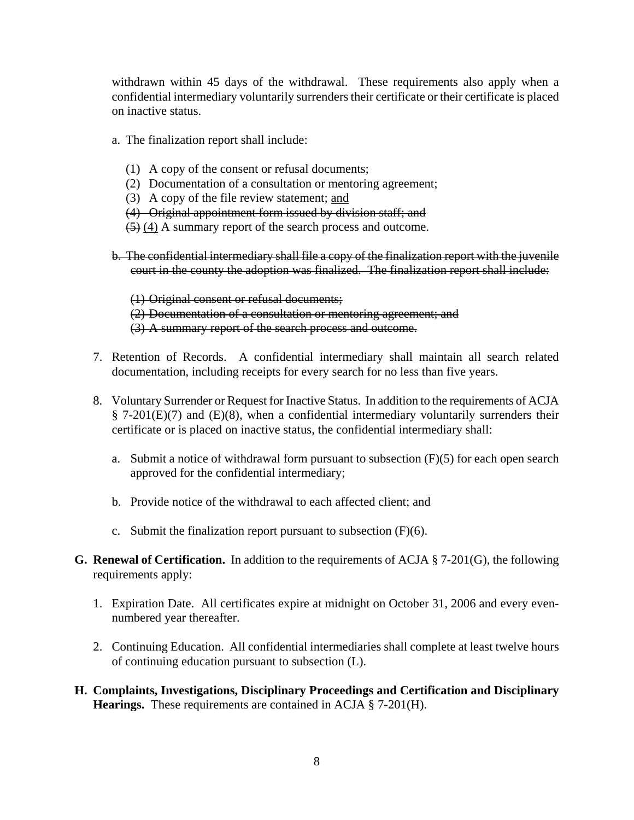withdrawn within 45 days of the withdrawal. These requirements also apply when a confidential intermediary voluntarily surrenders their certificate or their certificate is placed on inactive status.

- a. The finalization report shall include:
	- (1) A copy of the consent or refusal documents;
	- (2) Documentation of a consultation or mentoring agreement;
	- (3) A copy of the file review statement; and
	- (4) Original appointment form issued by division staff; and
	- (5) (4) A summary report of the search process and outcome.
- b. The confidential intermediary shall file a copy of the finalization report with the juvenile court in the county the adoption was finalized. The finalization report shall include:

(1) Original consent or refusal documents; (2) Documentation of a consultation or mentoring agreement; and (3) A summary report of the search process and outcome.

- 7. Retention of Records. A confidential intermediary shall maintain all search related documentation, including receipts for every search for no less than five years.
- 8. Voluntary Surrender or Request for Inactive Status. In addition to the requirements of ACJA  $\S$  7-201(E)(7) and (E)(8), when a confidential intermediary voluntarily surrenders their certificate or is placed on inactive status, the confidential intermediary shall:
	- a. Submit a notice of withdrawal form pursuant to subsection  $(F)(5)$  for each open search approved for the confidential intermediary;
	- b. Provide notice of the withdrawal to each affected client; and
	- c. Submit the finalization report pursuant to subsection (F)(6).
- **G. Renewal of Certification.** In addition to the requirements of ACJA § 7-201(G), the following requirements apply:
	- 1. Expiration Date. All certificates expire at midnight on October 31, 2006 and every evennumbered year thereafter.
	- 2. Continuing Education. All confidential intermediaries shall complete at least twelve hours of continuing education pursuant to subsection (L).
- **H. Complaints, Investigations, Disciplinary Proceedings and Certification and Disciplinary Hearings.** These requirements are contained in ACJA § 7**-**201(H).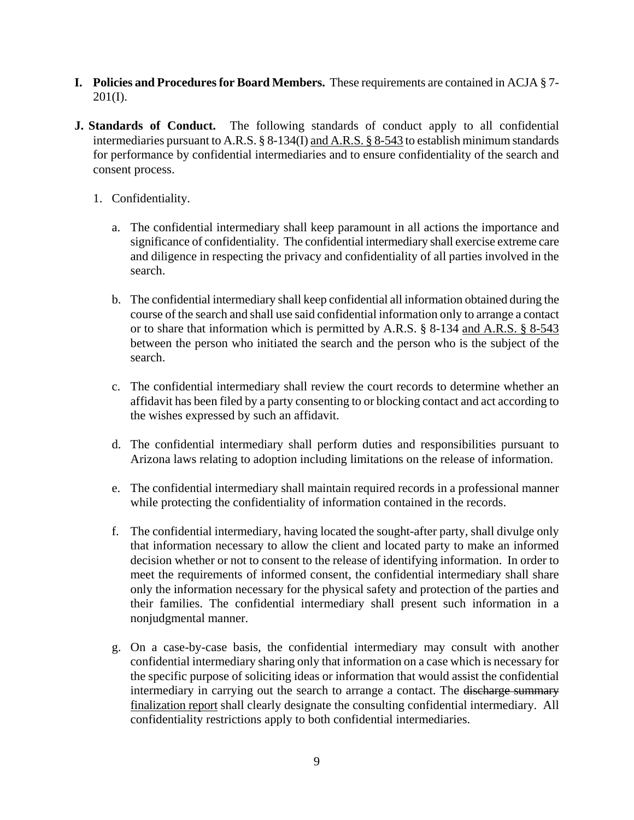- **I. Policies and Procedures for Board Members.** These requirements are contained in ACJA § 7-  $201(I).$
- **J. Standards of Conduct.** The following standards of conduct apply to all confidential intermediaries pursuant to A.R.S. § 8-134(I) and A.R.S. § 8-543 to establish minimum standards for performance by confidential intermediaries and to ensure confidentiality of the search and consent process.
	- 1. Confidentiality.
		- a. The confidential intermediary shall keep paramount in all actions the importance and significance of confidentiality. The confidential intermediary shall exercise extreme care and diligence in respecting the privacy and confidentiality of all parties involved in the search.
		- b. The confidential intermediary shall keep confidential all information obtained during the course of the search and shall use said confidential information only to arrange a contact or to share that information which is permitted by A.R.S. § 8-134 and A.R.S. § 8-543 between the person who initiated the search and the person who is the subject of the search.
		- c. The confidential intermediary shall review the court records to determine whether an affidavit has been filed by a party consenting to or blocking contact and act according to the wishes expressed by such an affidavit.
		- d. The confidential intermediary shall perform duties and responsibilities pursuant to Arizona laws relating to adoption including limitations on the release of information.
		- e. The confidential intermediary shall maintain required records in a professional manner while protecting the confidentiality of information contained in the records.
		- f. The confidential intermediary, having located the sought-after party, shall divulge only that information necessary to allow the client and located party to make an informed decision whether or not to consent to the release of identifying information. In order to meet the requirements of informed consent, the confidential intermediary shall share only the information necessary for the physical safety and protection of the parties and their families. The confidential intermediary shall present such information in a nonjudgmental manner.
		- g. On a case-by-case basis, the confidential intermediary may consult with another confidential intermediary sharing only that information on a case which is necessary for the specific purpose of soliciting ideas or information that would assist the confidential intermediary in carrying out the search to arrange a contact. The discharge summary finalization report shall clearly designate the consulting confidential intermediary. All confidentiality restrictions apply to both confidential intermediaries.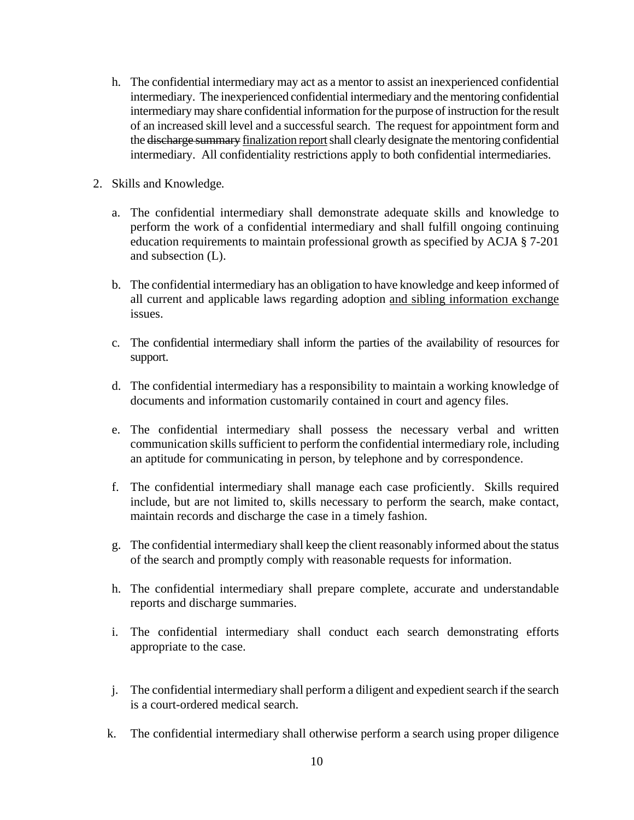- h. The confidential intermediary may act as a mentor to assist an inexperienced confidential intermediary. The inexperienced confidential intermediary and the mentoring confidential intermediary may share confidential information for the purpose of instruction for the result of an increased skill level and a successful search. The request for appointment form and the discharge summary finalization report shall clearly designate the mentoring confidential intermediary. All confidentiality restrictions apply to both confidential intermediaries.
- 2. Skills and Knowledge*.* 
	- a. The confidential intermediary shall demonstrate adequate skills and knowledge to perform the work of a confidential intermediary and shall fulfill ongoing continuing education requirements to maintain professional growth as specified by ACJA § 7-201 and subsection (L).
	- b. The confidential intermediary has an obligation to have knowledge and keep informed of all current and applicable laws regarding adoption and sibling information exchange issues.
	- c. The confidential intermediary shall inform the parties of the availability of resources for support.
	- d. The confidential intermediary has a responsibility to maintain a working knowledge of documents and information customarily contained in court and agency files.
	- e. The confidential intermediary shall possess the necessary verbal and written communication skills sufficient to perform the confidential intermediary role, including an aptitude for communicating in person, by telephone and by correspondence.
	- f. The confidential intermediary shall manage each case proficiently. Skills required include, but are not limited to, skills necessary to perform the search, make contact, maintain records and discharge the case in a timely fashion.
	- g. The confidential intermediary shall keep the client reasonably informed about the status of the search and promptly comply with reasonable requests for information.
	- h. The confidential intermediary shall prepare complete, accurate and understandable reports and discharge summaries.
	- i. The confidential intermediary shall conduct each search demonstrating efforts appropriate to the case.
	- j. The confidential intermediary shall perform a diligent and expedient search if the search is a court-ordered medical search.
	- k. The confidential intermediary shall otherwise perform a search using proper diligence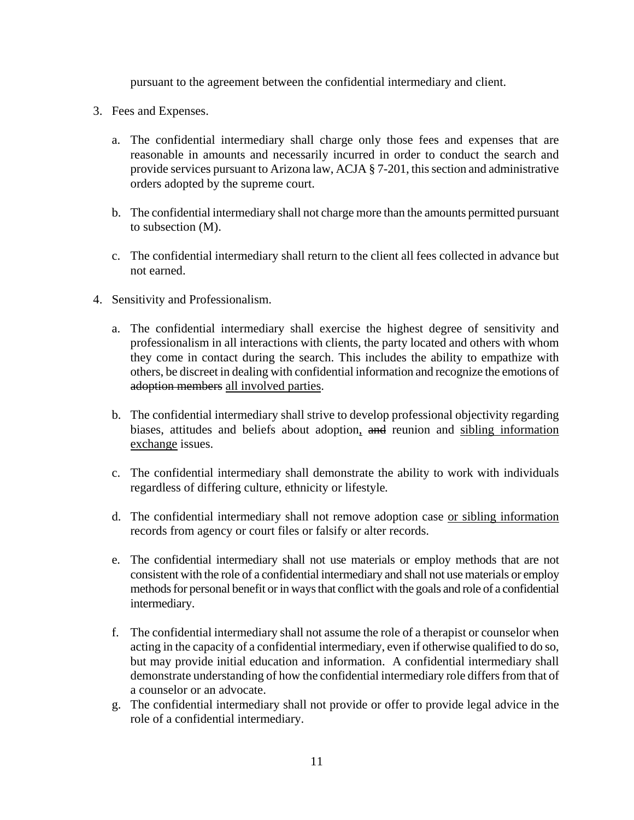pursuant to the agreement between the confidential intermediary and client.

- 3. Fees and Expenses.
	- a. The confidential intermediary shall charge only those fees and expenses that are reasonable in amounts and necessarily incurred in order to conduct the search and provide services pursuant to Arizona law, ACJA § 7-201, this section and administrative orders adopted by the supreme court.
	- b. The confidential intermediary shall not charge more than the amounts permitted pursuant to subsection (M).
	- c. The confidential intermediary shall return to the client all fees collected in advance but not earned.
- 4. Sensitivity and Professionalism.
	- a. The confidential intermediary shall exercise the highest degree of sensitivity and professionalism in all interactions with clients, the party located and others with whom they come in contact during the search. This includes the ability to empathize with others, be discreet in dealing with confidential information and recognize the emotions of adoption members all involved parties.
	- b. The confidential intermediary shall strive to develop professional objectivity regarding biases, attitudes and beliefs about adoption, and reunion and sibling information exchange issues.
	- c. The confidential intermediary shall demonstrate the ability to work with individuals regardless of differing culture, ethnicity or lifestyle*.*
	- d. The confidential intermediary shall not remove adoption case or sibling information records from agency or court files or falsify or alter records.
	- e. The confidential intermediary shall not use materials or employ methods that are not consistent with the role of a confidential intermediary and shall not use materials or employ methods for personal benefit or in ways that conflict with the goals and role of a confidential intermediary.
	- f. The confidential intermediary shall not assume the role of a therapist or counselor when acting in the capacity of a confidential intermediary, even if otherwise qualified to do so, but may provide initial education and information. A confidential intermediary shall demonstrate understanding of how the confidential intermediary role differs from that of a counselor or an advocate.
	- g. The confidential intermediary shall not provide or offer to provide legal advice in the role of a confidential intermediary.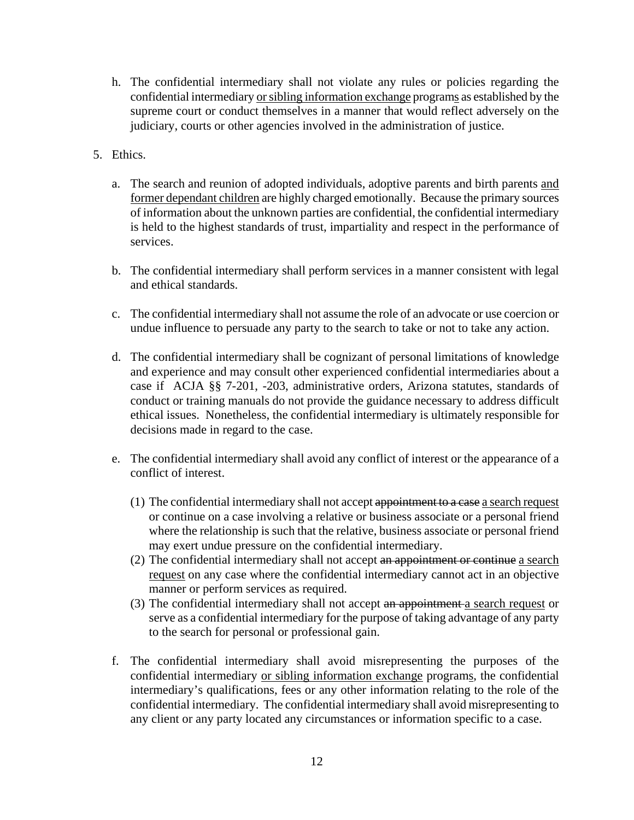- h. The confidential intermediary shall not violate any rules or policies regarding the confidential intermediary or sibling information exchange programs as established by the supreme court or conduct themselves in a manner that would reflect adversely on the judiciary, courts or other agencies involved in the administration of justice.
- 5. Ethics.
	- a. The search and reunion of adopted individuals, adoptive parents and birth parents and former dependant children are highly charged emotionally. Because the primary sources of information about the unknown parties are confidential, the confidential intermediary is held to the highest standards of trust, impartiality and respect in the performance of services.
	- b. The confidential intermediary shall perform services in a manner consistent with legal and ethical standards.
	- c. The confidential intermediary shall not assume the role of an advocate or use coercion or undue influence to persuade any party to the search to take or not to take any action.
	- d. The confidential intermediary shall be cognizant of personal limitations of knowledge and experience and may consult other experienced confidential intermediaries about a case if ACJA §§ 7-201, -203, administrative orders, Arizona statutes, standards of conduct or training manuals do not provide the guidance necessary to address difficult ethical issues. Nonetheless, the confidential intermediary is ultimately responsible for decisions made in regard to the case.
	- e. The confidential intermediary shall avoid any conflict of interest or the appearance of a conflict of interest.
		- (1) The confidential intermediary shall not accept appointment to a case a search request or continue on a case involving a relative or business associate or a personal friend where the relationship is such that the relative, business associate or personal friend may exert undue pressure on the confidential intermediary.
		- (2) The confidential intermediary shall not accept an appointment or continue a search request on any case where the confidential intermediary cannot act in an objective manner or perform services as required.
		- (3) The confidential intermediary shall not accept an appointment a search request or serve as a confidential intermediary for the purpose of taking advantage of any party to the search for personal or professional gain.
	- f. The confidential intermediary shall avoid misrepresenting the purposes of the confidential intermediary or sibling information exchange programs, the confidential intermediary's qualifications, fees or any other information relating to the role of the confidential intermediary. The confidential intermediary shall avoid misrepresenting to any client or any party located any circumstances or information specific to a case.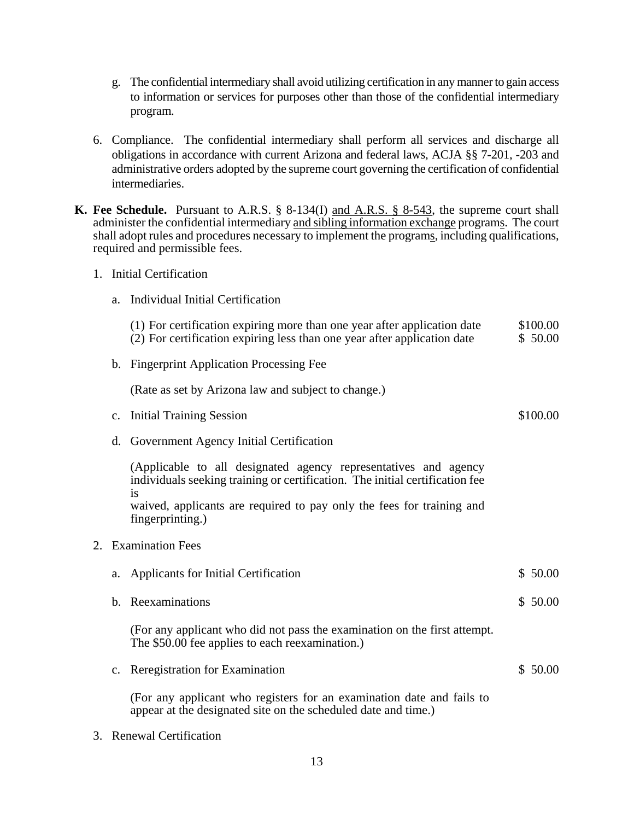- g. The confidential intermediary shall avoid utilizing certification in any manner to gain access to information or services for purposes other than those of the confidential intermediary program.
- 6.Compliance. The confidential intermediary shall perform all services and discharge all obligations in accordance with current Arizona and federal laws, ACJA §§ 7-201, -203 and administrative orders adopted by the supreme court governing the certification of confidential intermediaries.
- **K. Fee Schedule.** Pursuant to A.R.S. § 8-134(I) and A.R.S. § 8-543, the supreme court shall administer the confidential intermediary and sibling information exchange programs. The court shall adopt rules and procedures necessary to implement the programs, including qualifications, required and permissible fees.
	- 1. Initial Certification
		- a. Individual Initial Certification

| (1) For certification expiring more than one year after application date<br>(2) For certification expiring less than one year after application date | \$100.00<br>\$50.00 |
|------------------------------------------------------------------------------------------------------------------------------------------------------|---------------------|
| b. Fingerprint Application Processing Fee                                                                                                            |                     |
| (Rate as set by Arizona law and subject to change.)                                                                                                  |                     |
| c. Initial Training Session                                                                                                                          | \$100.00            |
| d. Government Agency Initial Certification                                                                                                           |                     |
| (Applicable to all designated agency representatives and agency<br>individuals seeking training or certification. The initial certification fee      |                     |

is waived, applicants are required to pay only the fees for training and fingerprinting.)

2. Examination Fees

|  | a. Applicants for Initial Certification | \$50.00 |
|--|-----------------------------------------|---------|
|--|-----------------------------------------|---------|

b. Reexaminations  $\frac{1}{2}$  50.00

(For any applicant who did not pass the examination on the first attempt. The \$50.00 fee applies to each reexamination.)

c. Reregistration for Examination  $\frac{1}{2}$  50.00

(For any applicant who registers for an examination date and fails to appear at the designated site on the scheduled date and time.)

3. Renewal Certification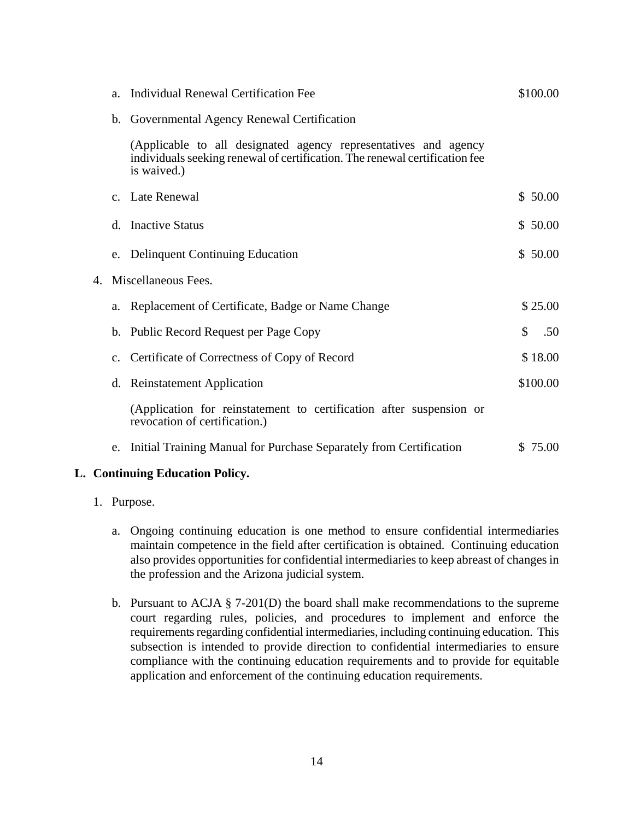|    | a.             | Individual Renewal Certification Fee                                                                                                                          |    | \$100.00 |
|----|----------------|---------------------------------------------------------------------------------------------------------------------------------------------------------------|----|----------|
|    | b.             | Governmental Agency Renewal Certification                                                                                                                     |    |          |
|    |                | (Applicable to all designated agency representatives and agency<br>individuals seeking renewal of certification. The renewal certification fee<br>is waived.) |    |          |
|    | $C_{-}$        | Late Renewal                                                                                                                                                  |    | \$50.00  |
|    | d.             | <b>Inactive Status</b>                                                                                                                                        |    | \$50.00  |
|    | e.             | <b>Delinquent Continuing Education</b>                                                                                                                        |    | \$50.00  |
| 4. |                | Miscellaneous Fees.                                                                                                                                           |    |          |
|    | a.             | Replacement of Certificate, Badge or Name Change                                                                                                              |    | \$25.00  |
|    | $\mathbf{b}$ . | Public Record Request per Page Copy                                                                                                                           | \$ | .50      |
|    | $C_{\bullet}$  | Certificate of Correctness of Copy of Record                                                                                                                  |    | \$18.00  |
|    | d.             | <b>Reinstatement Application</b>                                                                                                                              |    | \$100.00 |
|    |                | (Application for reinstatement to certification after suspension or<br>revocation of certification.)                                                          |    |          |
|    | e.             | Initial Training Manual for Purchase Separately from Certification                                                                                            |    | \$ 75.00 |

#### **L. Continuing Education Policy.**

- 1. Purpose.
	- a. Ongoing continuing education is one method to ensure confidential intermediaries maintain competence in the field after certification is obtained. Continuing education also provides opportunities for confidential intermediaries to keep abreast of changes in the profession and the Arizona judicial system.
	- b. Pursuant to ACJA § 7-201(D) the board shall make recommendations to the supreme court regarding rules, policies, and procedures to implement and enforce the requirements regarding confidential intermediaries, including continuing education. This subsection is intended to provide direction to confidential intermediaries to ensure compliance with the continuing education requirements and to provide for equitable application and enforcement of the continuing education requirements.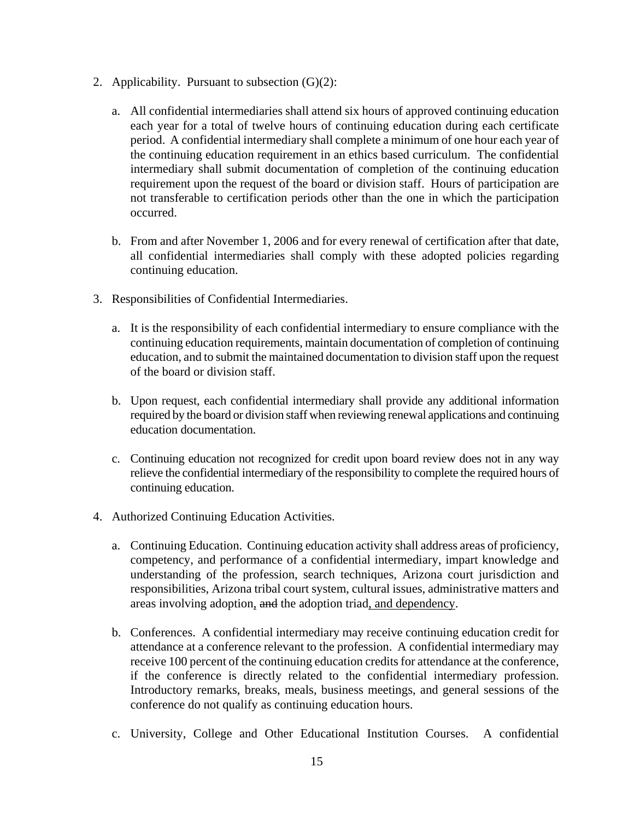- 2. Applicability. Pursuant to subsection  $(G)(2)$ :
	- a. All confidential intermediaries shall attend six hours of approved continuing education each year for a total of twelve hours of continuing education during each certificate period. A confidential intermediary shall complete a minimum of one hour each year of the continuing education requirement in an ethics based curriculum. The confidential intermediary shall submit documentation of completion of the continuing education requirement upon the request of the board or division staff. Hours of participation are not transferable to certification periods other than the one in which the participation occurred.
	- b. From and after November 1, 2006 and for every renewal of certification after that date, all confidential intermediaries shall comply with these adopted policies regarding continuing education.
- 3. Responsibilities of Confidential Intermediaries.
	- a. It is the responsibility of each confidential intermediary to ensure compliance with the continuing education requirements, maintain documentation of completion of continuing education, and to submit the maintained documentation to division staff upon the request of the board or division staff.
	- b. Upon request, each confidential intermediary shall provide any additional information required by the board or division staff when reviewing renewal applications and continuing education documentation.
	- c. Continuing education not recognized for credit upon board review does not in any way relieve the confidential intermediary of the responsibility to complete the required hours of continuing education.
- 4. Authorized Continuing Education Activities.
	- a. Continuing Education. Continuing education activity shall address areas of proficiency, competency, and performance of a confidential intermediary, impart knowledge and understanding of the profession, search techniques, Arizona court jurisdiction and responsibilities, Arizona tribal court system, cultural issues, administrative matters and areas involving adoption, and the adoption triad, and dependency.
	- b. Conferences. A confidential intermediary may receive continuing education credit for attendance at a conference relevant to the profession. A confidential intermediary may receive 100 percent of the continuing education credits for attendance at the conference, if the conference is directly related to the confidential intermediary profession. Introductory remarks, breaks, meals, business meetings, and general sessions of the conference do not qualify as continuing education hours.
	- c. University, College and Other Educational Institution Courses. A confidential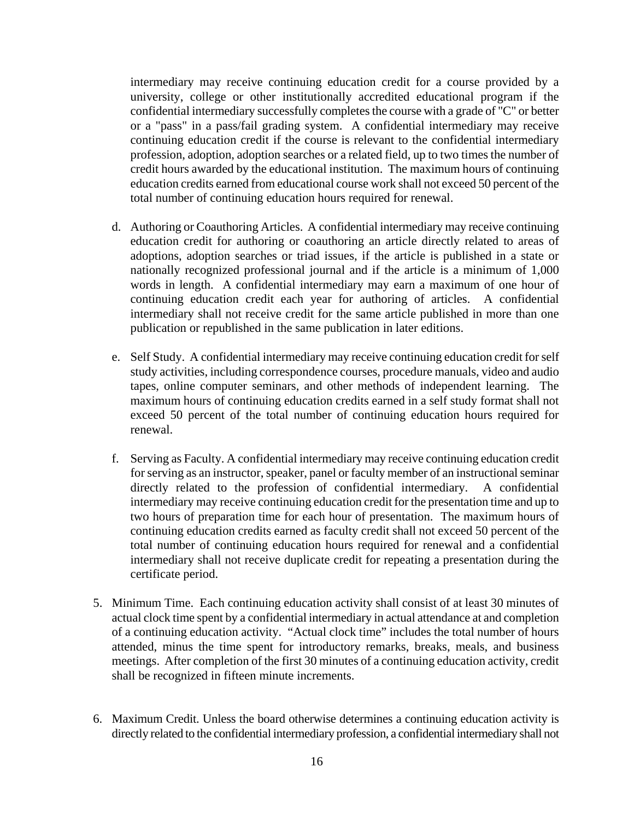intermediary may receive continuing education credit for a course provided by a university, college or other institutionally accredited educational program if the confidential intermediary successfully completes the course with a grade of "C" or better or a "pass" in a pass/fail grading system. A confidential intermediary may receive continuing education credit if the course is relevant to the confidential intermediary profession, adoption, adoption searches or a related field, up to two times the number of credit hours awarded by the educational institution. The maximum hours of continuing education credits earned from educational course work shall not exceed 50 percent of the total number of continuing education hours required for renewal.

- d. Authoring or Coauthoring Articles. A confidential intermediary may receive continuing education credit for authoring or coauthoring an article directly related to areas of adoptions, adoption searches or triad issues, if the article is published in a state or nationally recognized professional journal and if the article is a minimum of 1,000 words in length. A confidential intermediary may earn a maximum of one hour of continuing education credit each year for authoring of articles. A confidential intermediary shall not receive credit for the same article published in more than one publication or republished in the same publication in later editions.
- e. Self Study. A confidential intermediary may receive continuing education credit for self study activities, including correspondence courses, procedure manuals, video and audio tapes, online computer seminars, and other methods of independent learning. The maximum hours of continuing education credits earned in a self study format shall not exceed 50 percent of the total number of continuing education hours required for renewal.
- f. Serving as Faculty. A confidential intermediary may receive continuing education credit for serving as an instructor, speaker, panel or faculty member of an instructional seminar directly related to the profession of confidential intermediary. A confidential intermediary may receive continuing education credit for the presentation time and up to two hours of preparation time for each hour of presentation. The maximum hours of continuing education credits earned as faculty credit shall not exceed 50 percent of the total number of continuing education hours required for renewal and a confidential intermediary shall not receive duplicate credit for repeating a presentation during the certificate period.
- 5. Minimum Time. Each continuing education activity shall consist of at least 30 minutes of actual clock time spent by a confidential intermediary in actual attendance at and completion of a continuing education activity. "Actual clock time" includes the total number of hours attended, minus the time spent for introductory remarks, breaks, meals, and business meetings. After completion of the first 30 minutes of a continuing education activity, credit shall be recognized in fifteen minute increments.
- 6. Maximum Credit. Unless the board otherwise determines a continuing education activity is directly related to the confidential intermediary profession, a confidential intermediary shall not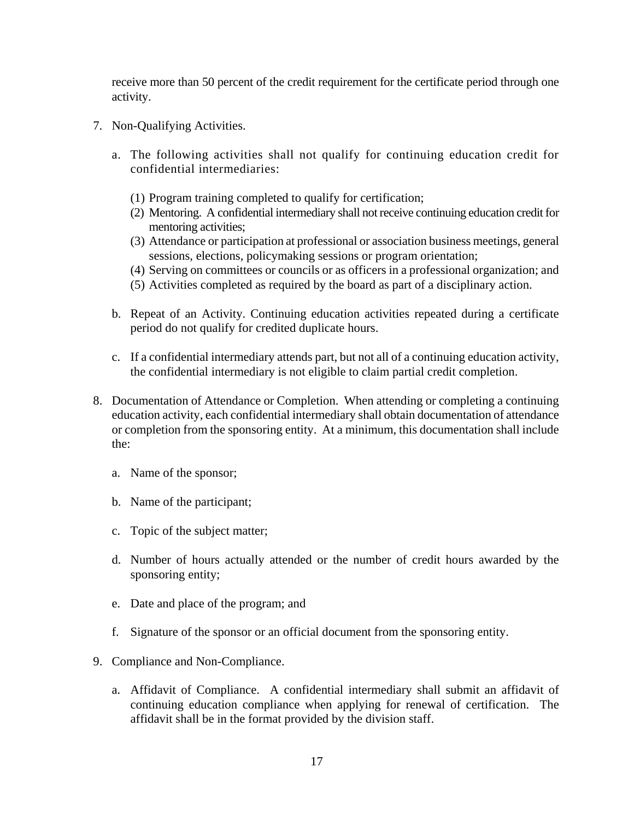receive more than 50 percent of the credit requirement for the certificate period through one activity.

- 7. Non-Qualifying Activities.
	- a. The following activities shall not qualify for continuing education credit for confidential intermediaries:
		- (1) Program training completed to qualify for certification;
		- (2) Mentoring. A confidential intermediary shall not receive continuing education credit for mentoring activities;
		- (3) Attendance or participation at professional or association business meetings, general sessions, elections, policymaking sessions or program orientation;
		- (4) Serving on committees or councils or as officers in a professional organization; and
		- (5) Activities completed as required by the board as part of a disciplinary action.
	- b. Repeat of an Activity. Continuing education activities repeated during a certificate period do not qualify for credited duplicate hours.
	- c. If a confidential intermediary attends part, but not all of a continuing education activity, the confidential intermediary is not eligible to claim partial credit completion.
- 8. Documentation of Attendance or Completion. When attending or completing a continuing education activity, each confidential intermediary shall obtain documentation of attendance or completion from the sponsoring entity. At a minimum, this documentation shall include the:
	- a. Name of the sponsor;
	- b. Name of the participant;
	- c. Topic of the subject matter;
	- d. Number of hours actually attended or the number of credit hours awarded by the sponsoring entity;
	- e. Date and place of the program; and
	- f. Signature of the sponsor or an official document from the sponsoring entity.
- 9. Compliance and Non-Compliance.
	- a. Affidavit of Compliance. A confidential intermediary shall submit an affidavit of continuing education compliance when applying for renewal of certification. The affidavit shall be in the format provided by the division staff.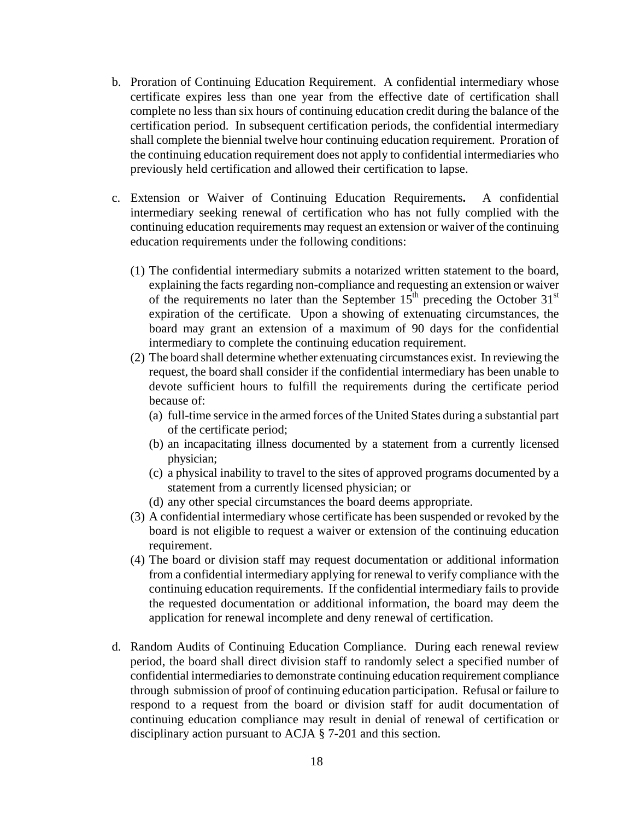- b. Proration of Continuing Education Requirement. A confidential intermediary whose certificate expires less than one year from the effective date of certification shall complete no less than six hours of continuing education credit during the balance of the certification period. In subsequent certification periods, the confidential intermediary shall complete the biennial twelve hour continuing education requirement. Proration of the continuing education requirement does not apply to confidential intermediaries who previously held certification and allowed their certification to lapse.
- c. Extension or Waiver of Continuing Education Requirements**.** A confidential intermediary seeking renewal of certification who has not fully complied with the continuing education requirements may request an extension or waiver of the continuing education requirements under the following conditions:
	- (1) The confidential intermediary submits a notarized written statement to the board, explaining the facts regarding non-compliance and requesting an extension or waiver of the requirements no later than the September  $15<sup>th</sup>$  preceding the October  $31<sup>st</sup>$ expiration of the certificate. Upon a showing of extenuating circumstances, the board may grant an extension of a maximum of 90 days for the confidential intermediary to complete the continuing education requirement.
	- (2) The board shall determine whether extenuating circumstances exist. In reviewing the request, the board shall consider if the confidential intermediary has been unable to devote sufficient hours to fulfill the requirements during the certificate period because of:
		- (a) full-time service in the armed forces of the United States during a substantial part of the certificate period;
		- (b) an incapacitating illness documented by a statement from a currently licensed physician;
		- (c) a physical inability to travel to the sites of approved programs documented by a statement from a currently licensed physician; or
		- (d) any other special circumstances the board deems appropriate.
	- (3) A confidential intermediary whose certificate has been suspended or revoked by the board is not eligible to request a waiver or extension of the continuing education requirement.
	- (4) The board or division staff may request documentation or additional information from a confidential intermediary applying for renewal to verify compliance with the continuing education requirements. If the confidential intermediary fails to provide the requested documentation or additional information, the board may deem the application for renewal incomplete and deny renewal of certification.
- d. Random Audits of Continuing Education Compliance. During each renewal review period, the board shall direct division staff to randomly select a specified number of confidential intermediaries to demonstrate continuing education requirement compliance through submission of proof of continuing education participation. Refusal or failure to respond to a request from the board or division staff for audit documentation of continuing education compliance may result in denial of renewal of certification or disciplinary action pursuant to ACJA § 7-201 and this section.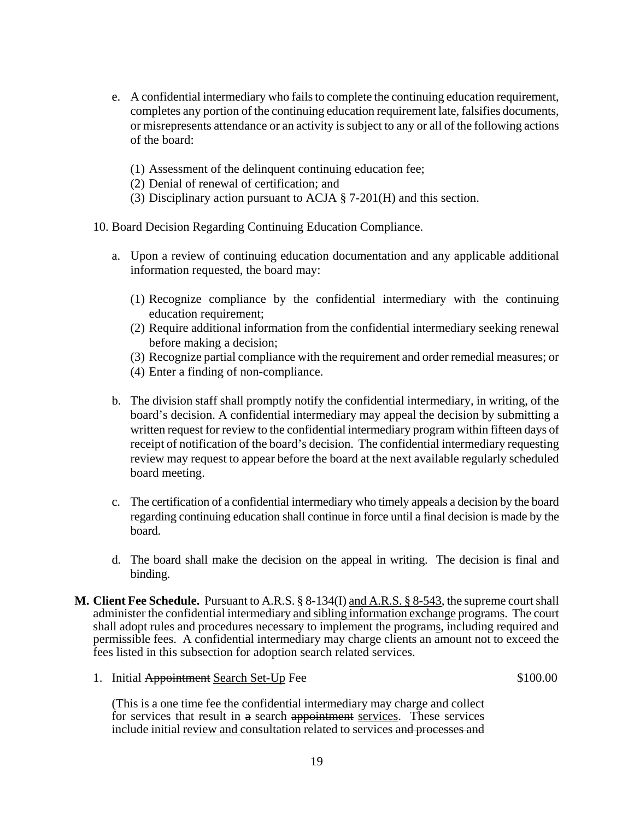- e. A confidential intermediary who fails to complete the continuing education requirement, completes any portion of the continuing education requirement late, falsifies documents, or misrepresents attendance or an activity is subject to any or all of the following actions of the board:
	- (1) Assessment of the delinquent continuing education fee;
	- (2) Denial of renewal of certification; and
	- (3) Disciplinary action pursuant to ACJA § 7-201(H) and this section.
- 10. Board Decision Regarding Continuing Education Compliance.
	- a. Upon a review of continuing education documentation and any applicable additional information requested, the board may:
		- (1) Recognize compliance by the confidential intermediary with the continuing education requirement;
		- (2) Require additional information from the confidential intermediary seeking renewal before making a decision;
		- (3) Recognize partial compliance with the requirement and order remedial measures; or
		- (4) Enter a finding of non-compliance.
	- b. The division staff shall promptly notify the confidential intermediary, in writing, of the board's decision. A confidential intermediary may appeal the decision by submitting a written request for review to the confidential intermediary program within fifteen days of receipt of notification of the board's decision. The confidential intermediary requesting review may request to appear before the board at the next available regularly scheduled board meeting.
	- c. The certification of a confidential intermediary who timely appeals a decision by the board regarding continuing education shall continue in force until a final decision is made by the board.
	- d. The board shall make the decision on the appeal in writing. The decision is final and binding.
- **M. Client Fee Schedule.** Pursuant to A.R.S. § 8-134(I) and A.R.S. § 8-543, the supreme court shall administer the confidential intermediary and sibling information exchange programs. The court shall adopt rules and procedures necessary to implement the programs, including required and permissible fees. A confidential intermediary may charge clients an amount not to exceed the fees listed in this subsection for adoption search related services.
	- 1. Initial Appointment Search Set-Up Fee \$100.00

(This is a one time fee the confidential intermediary may charge and collect for services that result in a search appointment services. These services include initial review and consultation related to services and processes and